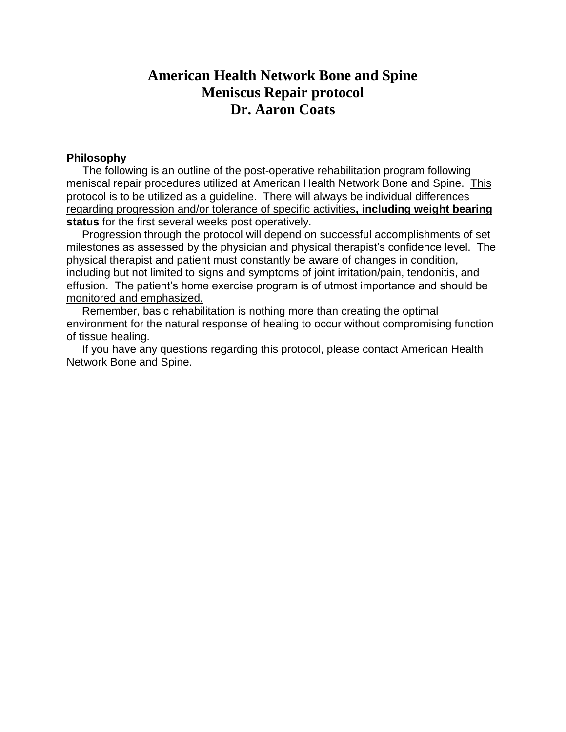# **American Health Network Bone and Spine Meniscus Repair protocol Dr. Aaron Coats**

# **Philosophy**

 The following is an outline of the post-operative rehabilitation program following meniscal repair procedures utilized at American Health Network Bone and Spine. This protocol is to be utilized as a guideline. There will always be individual differences regarding progression and/or tolerance of specific activities**, including weight bearing status** for the first several weeks post operatively.

 Progression through the protocol will depend on successful accomplishments of set milestones as assessed by the physician and physical therapist's confidence level. The physical therapist and patient must constantly be aware of changes in condition, including but not limited to signs and symptoms of joint irritation/pain, tendonitis, and effusion. The patient's home exercise program is of utmost importance and should be monitored and emphasized.

 Remember, basic rehabilitation is nothing more than creating the optimal environment for the natural response of healing to occur without compromising function of tissue healing.

 If you have any questions regarding this protocol, please contact American Health Network Bone and Spine.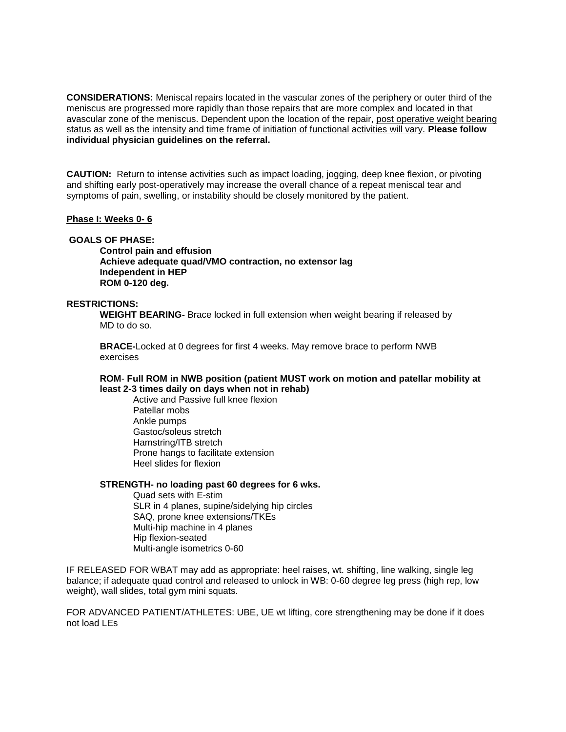**CONSIDERATIONS:** Meniscal repairs located in the vascular zones of the periphery or outer third of the meniscus are progressed more rapidly than those repairs that are more complex and located in that avascular zone of the meniscus. Dependent upon the location of the repair, post operative weight bearing status as well as the intensity and time frame of initiation of functional activities will vary. **Please follow individual physician guidelines on the referral.**

**CAUTION:** Return to intense activities such as impact loading, jogging, deep knee flexion, or pivoting and shifting early post-operatively may increase the overall chance of a repeat meniscal tear and symptoms of pain, swelling, or instability should be closely monitored by the patient.

#### **Phase I: Weeks 0- 6**

# **GOALS OF PHASE:**

**Control pain and effusion Achieve adequate quad/VMO contraction, no extensor lag Independent in HEP ROM 0-120 deg.**

#### **RESTRICTIONS:**

**WEIGHT BEARING-** Brace locked in full extension when weight bearing if released by MD to do so.

**BRACE-**Locked at 0 degrees for first 4 weeks. May remove brace to perform NWB exercises

#### **ROM**- **Full ROM in NWB position (patient MUST work on motion and patellar mobility at least 2-3 times daily on days when not in rehab)**

Active and Passive full knee flexion Patellar mobs Ankle pumps Gastoc/soleus stretch Hamstring/ITB stretch Prone hangs to facilitate extension Heel slides for flexion

#### **STRENGTH- no loading past 60 degrees for 6 wks.**

Quad sets with E-stim SLR in 4 planes, supine/sidelying hip circles SAQ, prone knee extensions/TKEs Multi-hip machine in 4 planes Hip flexion-seated Multi-angle isometrics 0-60

IF RELEASED FOR WBAT may add as appropriate: heel raises, wt. shifting, line walking, single leg balance; if adequate quad control and released to unlock in WB: 0-60 degree leg press (high rep, low weight), wall slides, total gym mini squats.

FOR ADVANCED PATIENT/ATHLETES: UBE, UE wt lifting, core strengthening may be done if it does not load LEs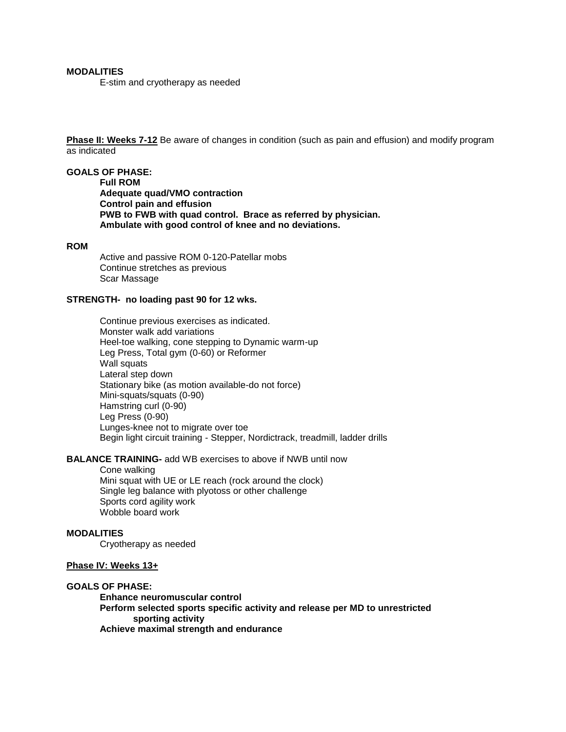## **MODALITIES**

E-stim and cryotherapy as needed

**Phase II: Weeks 7-12** Be aware of changes in condition (such as pain and effusion) and modify program as indicated

#### **GOALS OF PHASE:**

**Full ROM Adequate quad/VMO contraction Control pain and effusion PWB to FWB with quad control. Brace as referred by physician. Ambulate with good control of knee and no deviations.**

#### **ROM**

Active and passive ROM 0-120-Patellar mobs Continue stretches as previous Scar Massage

#### **STRENGTH- no loading past 90 for 12 wks.**

Continue previous exercises as indicated. Monster walk add variations Heel-toe walking, cone stepping to Dynamic warm-up Leg Press, Total gym (0-60) or Reformer Wall squats Lateral step down Stationary bike (as motion available-do not force) Mini-squats/squats (0-90) Hamstring curl (0-90) Leg Press (0-90) Lunges-knee not to migrate over toe Begin light circuit training - Stepper, Nordictrack, treadmill, ladder drills

#### **BALANCE TRAINING-** add WB exercises to above if NWB until now

Cone walking Mini squat with UE or LE reach (rock around the clock) Single leg balance with plyotoss or other challenge Sports cord agility work Wobble board work

## **MODALITIES**

Cryotherapy as needed

### **Phase IV: Weeks 13+**

#### **GOALS OF PHASE:**

**Enhance neuromuscular control Perform selected sports specific activity and release per MD to unrestricted sporting activity Achieve maximal strength and endurance**